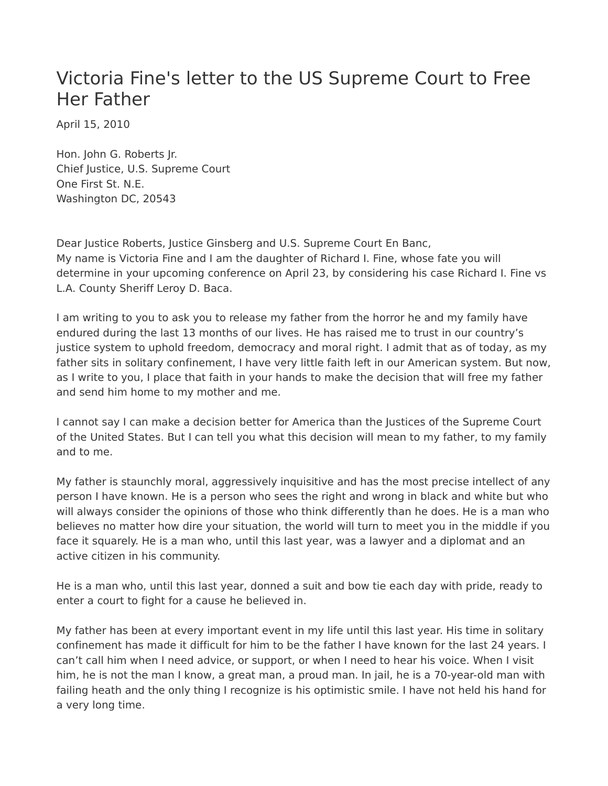## Victoria Fine's letter to the US Supreme Court to Free Her Father

April 15, 2010

Hon. John G. Roberts Jr. Chief Justice, U.S. Supreme Court One First St. N.E. Washington DC, 20543

Dear Justice Roberts, Justice Ginsberg and U.S. Supreme Court En Banc, My name is Victoria Fine and I am the daughter of Richard I. Fine, whose fate you will determine in your upcoming conference on April 23, by considering his case Richard I. Fine vs L.A. County Sheriff Leroy D. Baca.

I am writing to you to ask you to release my father from the horror he and my family have endured during the last 13 months of our lives. He has raised me to trust in our country's justice system to uphold freedom, democracy and moral right. I admit that as of today, as my father sits in solitary confinement, I have very little faith left in our American system. But now, as I write to you, I place that faith in your hands to make the decision that will free my father and send him home to my mother and me.

I cannot say I can make a decision better for America than the Justices of the Supreme Court of the United States. But I can tell you what this decision will mean to my father, to my family and to me.

My father is staunchly moral, aggressively inquisitive and has the most precise intellect of any person I have known. He is a person who sees the right and wrong in black and white but who will always consider the opinions of those who think differently than he does. He is a man who believes no matter how dire your situation, the world will turn to meet you in the middle if you face it squarely. He is a man who, until this last year, was a lawyer and a diplomat and an active citizen in his community.

He is a man who, until this last year, donned a suit and bow tie each day with pride, ready to enter a court to fight for a cause he believed in.

My father has been at every important event in my life until this last year. His time in solitary confinement has made it difficult for him to be the father I have known for the last 24 years. I can't call him when I need advice, or support, or when I need to hear his voice. When I visit him, he is not the man I know, a great man, a proud man. In jail, he is a 70-year-old man with failing heath and the only thing I recognize is his optimistic smile. I have not held his hand for a very long time.